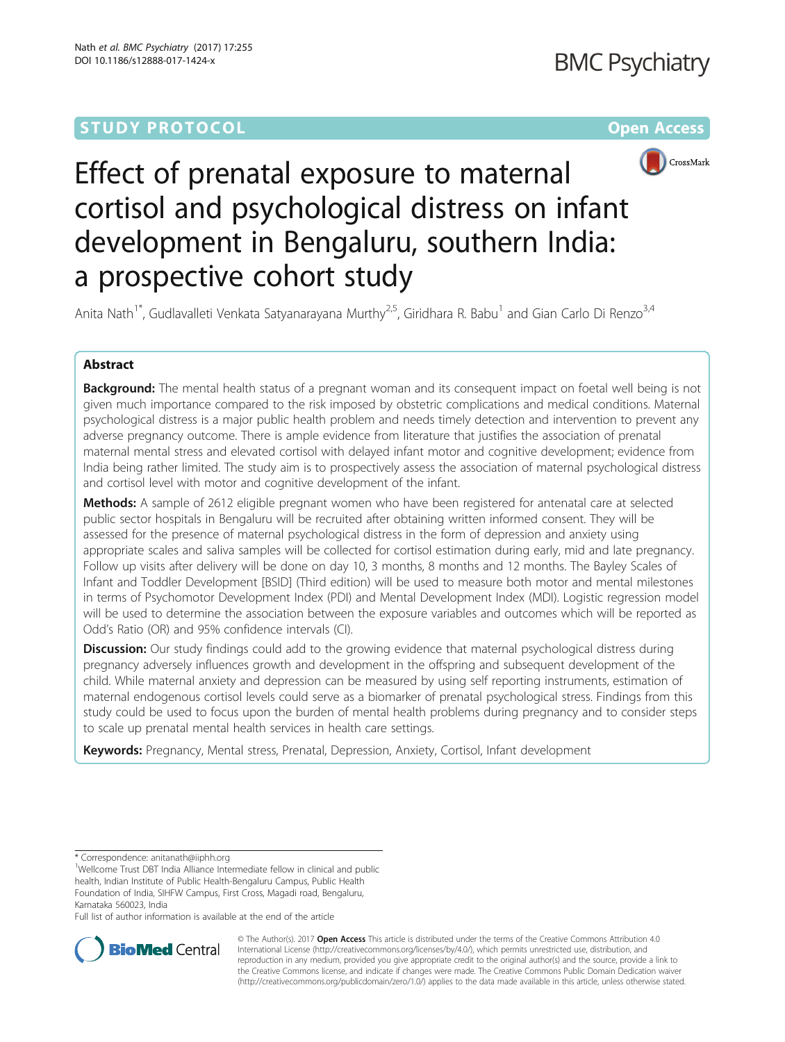# **STUDY PROTOCOL CONSUMING THE RESERVE ACCESS**



# Effect of prenatal exposure to maternal cortisol and psychological distress on infant development in Bengaluru, southern India: a prospective cohort study

Anita Nath<sup>1\*</sup>, Gudlavalleti Venkata Satyanarayana Murthy<sup>2,5</sup>, Giridhara R. Babu<sup>1</sup> and Gian Carlo Di Renzo<sup>3,4</sup>

## Abstract

Background: The mental health status of a pregnant woman and its consequent impact on foetal well being is not given much importance compared to the risk imposed by obstetric complications and medical conditions. Maternal psychological distress is a major public health problem and needs timely detection and intervention to prevent any adverse pregnancy outcome. There is ample evidence from literature that justifies the association of prenatal maternal mental stress and elevated cortisol with delayed infant motor and cognitive development; evidence from India being rather limited. The study aim is to prospectively assess the association of maternal psychological distress and cortisol level with motor and cognitive development of the infant.

**Methods:** A sample of 2612 eligible pregnant women who have been registered for antenatal care at selected public sector hospitals in Bengaluru will be recruited after obtaining written informed consent. They will be assessed for the presence of maternal psychological distress in the form of depression and anxiety using appropriate scales and saliva samples will be collected for cortisol estimation during early, mid and late pregnancy. Follow up visits after delivery will be done on day 10, 3 months, 8 months and 12 months. The Bayley Scales of Infant and Toddler Development [BSID] (Third edition) will be used to measure both motor and mental milestones in terms of Psychomotor Development Index (PDI) and Mental Development Index (MDI). Logistic regression model will be used to determine the association between the exposure variables and outcomes which will be reported as Odd's Ratio (OR) and 95% confidence intervals (CI).

**Discussion:** Our study findings could add to the growing evidence that maternal psychological distress during pregnancy adversely influences growth and development in the offspring and subsequent development of the child. While maternal anxiety and depression can be measured by using self reporting instruments, estimation of maternal endogenous cortisol levels could serve as a biomarker of prenatal psychological stress. Findings from this study could be used to focus upon the burden of mental health problems during pregnancy and to consider steps to scale up prenatal mental health services in health care settings.

Keywords: Pregnancy, Mental stress, Prenatal, Depression, Anxiety, Cortisol, Infant development

Karnataka 560023, India

Full list of author information is available at the end of the article



© The Author(s). 2017 **Open Access** This article is distributed under the terms of the Creative Commons Attribution 4.0 International License [\(http://creativecommons.org/licenses/by/4.0/](http://creativecommons.org/licenses/by/4.0/)), which permits unrestricted use, distribution, and reproduction in any medium, provided you give appropriate credit to the original author(s) and the source, provide a link to the Creative Commons license, and indicate if changes were made. The Creative Commons Public Domain Dedication waiver [\(http://creativecommons.org/publicdomain/zero/1.0/](http://creativecommons.org/publicdomain/zero/1.0/)) applies to the data made available in this article, unless otherwise stated.

<sup>\*</sup> Correspondence: [anitanath@iiphh.org](mailto:anitanath@iiphh.org) <sup>1</sup>

Wellcome Trust DBT India Alliance Intermediate fellow in clinical and public health, Indian Institute of Public Health-Bengaluru Campus, Public Health Foundation of India, SIHFW Campus, First Cross, Magadi road, Bengaluru,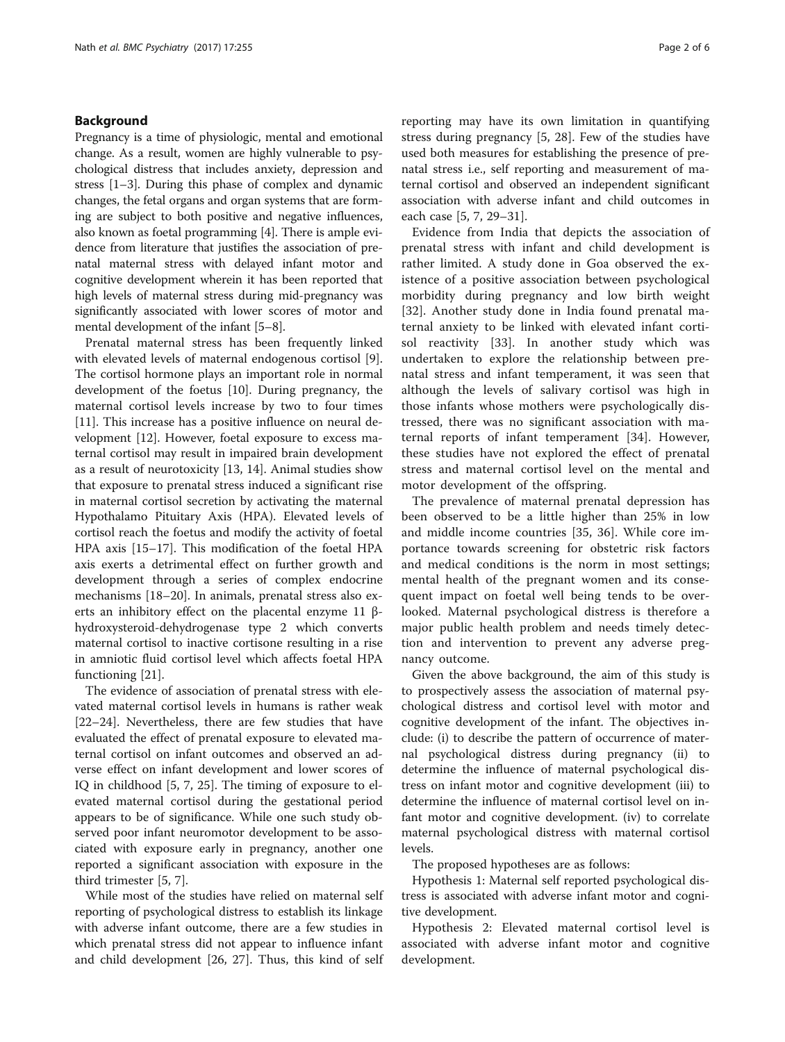#### Background

Pregnancy is a time of physiologic, mental and emotional change. As a result, women are highly vulnerable to psychological distress that includes anxiety, depression and stress [[1](#page-5-0)–[3](#page-5-0)]. During this phase of complex and dynamic changes, the fetal organs and organ systems that are forming are subject to both positive and negative influences, also known as foetal programming [[4\]](#page-5-0). There is ample evidence from literature that justifies the association of prenatal maternal stress with delayed infant motor and cognitive development wherein it has been reported that high levels of maternal stress during mid-pregnancy was significantly associated with lower scores of motor and mental development of the infant [\[5](#page-5-0)–[8](#page-5-0)].

Prenatal maternal stress has been frequently linked with elevated levels of maternal endogenous cortisol [\[9](#page-5-0)]. The cortisol hormone plays an important role in normal development of the foetus [\[10\]](#page-5-0). During pregnancy, the maternal cortisol levels increase by two to four times [[11\]](#page-5-0). This increase has a positive influence on neural development [\[12](#page-5-0)]. However, foetal exposure to excess maternal cortisol may result in impaired brain development as a result of neurotoxicity [\[13](#page-5-0), [14\]](#page-5-0). Animal studies show that exposure to prenatal stress induced a significant rise in maternal cortisol secretion by activating the maternal Hypothalamo Pituitary Axis (HPA). Elevated levels of cortisol reach the foetus and modify the activity of foetal HPA axis [\[15](#page-5-0)–[17\]](#page-5-0). This modification of the foetal HPA axis exerts a detrimental effect on further growth and development through a series of complex endocrine mechanisms [[18](#page-5-0)–[20](#page-5-0)]. In animals, prenatal stress also exerts an inhibitory effect on the placental enzyme 11 βhydroxysteroid-dehydrogenase type 2 which converts maternal cortisol to inactive cortisone resulting in a rise in amniotic fluid cortisol level which affects foetal HPA functioning [[21\]](#page-5-0).

The evidence of association of prenatal stress with elevated maternal cortisol levels in humans is rather weak [[22](#page-5-0)–[24](#page-5-0)]. Nevertheless, there are few studies that have evaluated the effect of prenatal exposure to elevated maternal cortisol on infant outcomes and observed an adverse effect on infant development and lower scores of IQ in childhood [\[5](#page-5-0), [7](#page-5-0), [25\]](#page-5-0). The timing of exposure to elevated maternal cortisol during the gestational period appears to be of significance. While one such study observed poor infant neuromotor development to be associated with exposure early in pregnancy, another one reported a significant association with exposure in the third trimester [[5, 7\]](#page-5-0).

While most of the studies have relied on maternal self reporting of psychological distress to establish its linkage with adverse infant outcome, there are a few studies in which prenatal stress did not appear to influence infant and child development [\[26](#page-5-0), [27](#page-5-0)]. Thus, this kind of self

reporting may have its own limitation in quantifying stress during pregnancy [\[5](#page-5-0), [28\]](#page-5-0). Few of the studies have used both measures for establishing the presence of prenatal stress i.e., self reporting and measurement of maternal cortisol and observed an independent significant association with adverse infant and child outcomes in each case [\[5](#page-5-0), [7](#page-5-0), [29](#page-5-0)–[31\]](#page-5-0).

Evidence from India that depicts the association of prenatal stress with infant and child development is rather limited. A study done in Goa observed the existence of a positive association between psychological morbidity during pregnancy and low birth weight [[32\]](#page-5-0). Another study done in India found prenatal maternal anxiety to be linked with elevated infant cortisol reactivity [\[33](#page-5-0)]. In another study which was undertaken to explore the relationship between prenatal stress and infant temperament, it was seen that although the levels of salivary cortisol was high in those infants whose mothers were psychologically distressed, there was no significant association with maternal reports of infant temperament [[34\]](#page-5-0). However, these studies have not explored the effect of prenatal stress and maternal cortisol level on the mental and motor development of the offspring.

The prevalence of maternal prenatal depression has been observed to be a little higher than 25% in low and middle income countries [\[35](#page-5-0), [36](#page-5-0)]. While core importance towards screening for obstetric risk factors and medical conditions is the norm in most settings; mental health of the pregnant women and its consequent impact on foetal well being tends to be overlooked. Maternal psychological distress is therefore a major public health problem and needs timely detection and intervention to prevent any adverse pregnancy outcome.

Given the above background, the aim of this study is to prospectively assess the association of maternal psychological distress and cortisol level with motor and cognitive development of the infant. The objectives include: (i) to describe the pattern of occurrence of maternal psychological distress during pregnancy (ii) to determine the influence of maternal psychological distress on infant motor and cognitive development (iii) to determine the influence of maternal cortisol level on infant motor and cognitive development. (iv) to correlate maternal psychological distress with maternal cortisol levels.

The proposed hypotheses are as follows:

Hypothesis 1: Maternal self reported psychological distress is associated with adverse infant motor and cognitive development.

Hypothesis 2: Elevated maternal cortisol level is associated with adverse infant motor and cognitive development.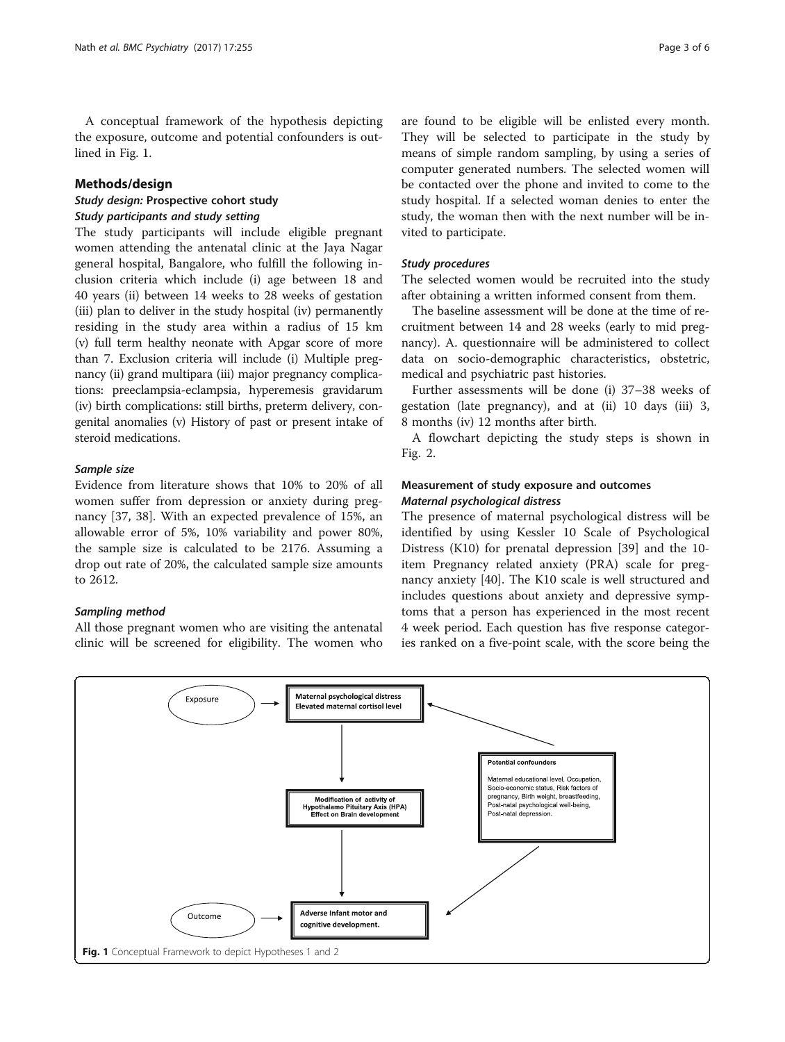<span id="page-2-0"></span>A conceptual framework of the hypothesis depicting the exposure, outcome and potential confounders is outlined in Fig. 1.

#### Methods/design

#### Study design: Prospective cohort study Study participants and study setting

The study participants will include eligible pregnant women attending the antenatal clinic at the Jaya Nagar general hospital, Bangalore, who fulfill the following inclusion criteria which include (i) age between 18 and 40 years (ii) between 14 weeks to 28 weeks of gestation (iii) plan to deliver in the study hospital (iv) permanently residing in the study area within a radius of 15 km (v) full term healthy neonate with Apgar score of more than 7. Exclusion criteria will include (i) Multiple pregnancy (ii) grand multipara (iii) major pregnancy complications: preeclampsia-eclampsia, hyperemesis gravidarum (iv) birth complications: still births, preterm delivery, congenital anomalies (v) History of past or present intake of steroid medications.

#### Sample size

Evidence from literature shows that 10% to 20% of all women suffer from depression or anxiety during pregnancy [[37](#page-5-0), [38\]](#page-5-0). With an expected prevalence of 15%, an allowable error of 5%, 10% variability and power 80%, the sample size is calculated to be 2176. Assuming a drop out rate of 20%, the calculated sample size amounts to 2612.

#### Sampling method

All those pregnant women who are visiting the antenatal clinic will be screened for eligibility. The women who are found to be eligible will be enlisted every month. They will be selected to participate in the study by means of simple random sampling, by using a series of computer generated numbers. The selected women will be contacted over the phone and invited to come to the study hospital. If a selected woman denies to enter the study, the woman then with the next number will be invited to participate.

### Study procedures

The selected women would be recruited into the study after obtaining a written informed consent from them.

The baseline assessment will be done at the time of recruitment between 14 and 28 weeks (early to mid pregnancy). A. questionnaire will be administered to collect data on socio-demographic characteristics, obstetric, medical and psychiatric past histories.

Further assessments will be done (i) 37–38 weeks of gestation (late pregnancy), and at (ii) 10 days (iii) 3, 8 months (iv) 12 months after birth.

A flowchart depicting the study steps is shown in Fig. [2.](#page-3-0)

#### Measurement of study exposure and outcomes Maternal psychological distress

The presence of maternal psychological distress will be identified by using Kessler 10 Scale of Psychological Distress (K10) for prenatal depression [[39\]](#page-5-0) and the 10 item Pregnancy related anxiety (PRA) scale for pregnancy anxiety [[40\]](#page-5-0). The K10 scale is well structured and includes questions about anxiety and depressive symptoms that a person has experienced in the most recent 4 week period. Each question has five response categories ranked on a five-point scale, with the score being the

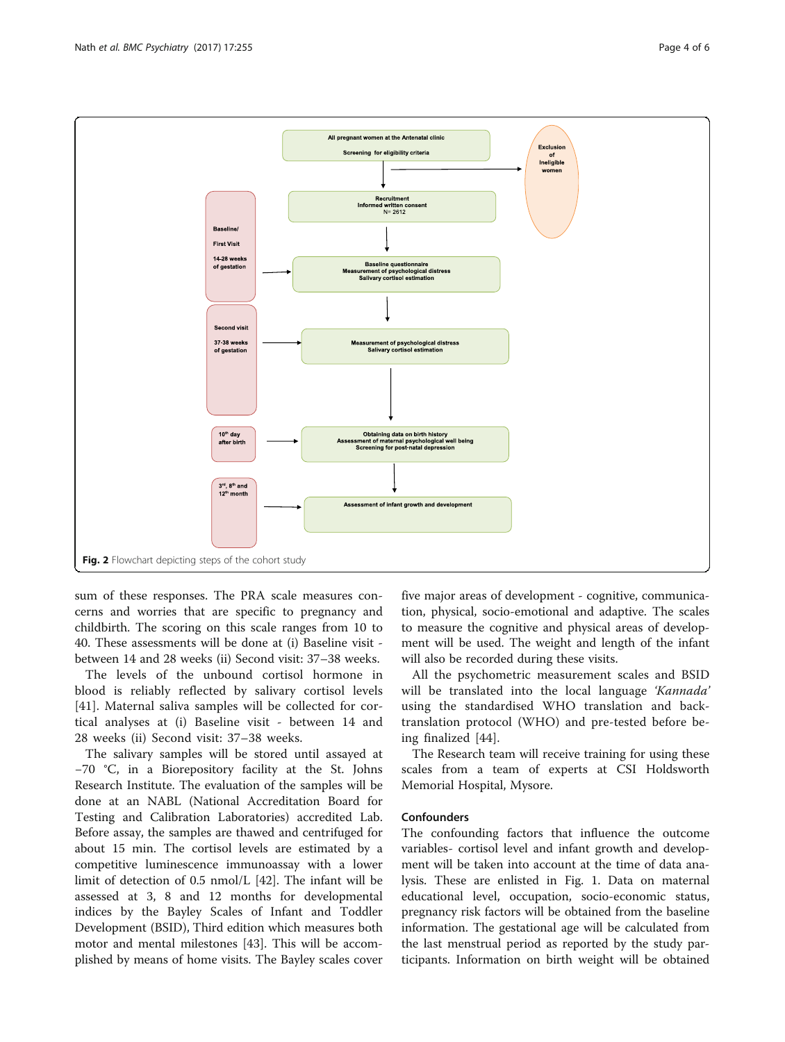<span id="page-3-0"></span>

sum of these responses. The PRA scale measures concerns and worries that are specific to pregnancy and childbirth. The scoring on this scale ranges from 10 to 40. These assessments will be done at (i) Baseline visit between 14 and 28 weeks (ii) Second visit: 37–38 weeks.

The levels of the unbound cortisol hormone in blood is reliably reflected by salivary cortisol levels [[41\]](#page-5-0). Maternal saliva samples will be collected for cortical analyses at (i) Baseline visit - between 14 and 28 weeks (ii) Second visit: 37–38 weeks.

The salivary samples will be stored until assayed at −70 °C, in a Biorepository facility at the St. Johns Research Institute. The evaluation of the samples will be done at an NABL (National Accreditation Board for Testing and Calibration Laboratories) accredited Lab. Before assay, the samples are thawed and centrifuged for about 15 min. The cortisol levels are estimated by a competitive luminescence immunoassay with a lower limit of detection of 0.5 nmol/L [[42\]](#page-5-0). The infant will be assessed at 3, 8 and 12 months for developmental indices by the Bayley Scales of Infant and Toddler Development (BSID), Third edition which measures both motor and mental milestones [\[43](#page-5-0)]. This will be accomplished by means of home visits. The Bayley scales cover

five major areas of development - cognitive, communication, physical, socio-emotional and adaptive. The scales to measure the cognitive and physical areas of development will be used. The weight and length of the infant will also be recorded during these visits.

All the psychometric measurement scales and BSID will be translated into the local language 'Kannada' using the standardised WHO translation and backtranslation protocol (WHO) and pre-tested before being finalized [[44\]](#page-5-0).

The Research team will receive training for using these scales from a team of experts at CSI Holdsworth Memorial Hospital, Mysore.

#### **Confounders**

The confounding factors that influence the outcome variables- cortisol level and infant growth and development will be taken into account at the time of data analysis. These are enlisted in Fig. [1.](#page-2-0) Data on maternal educational level, occupation, socio-economic status, pregnancy risk factors will be obtained from the baseline information. The gestational age will be calculated from the last menstrual period as reported by the study participants. Information on birth weight will be obtained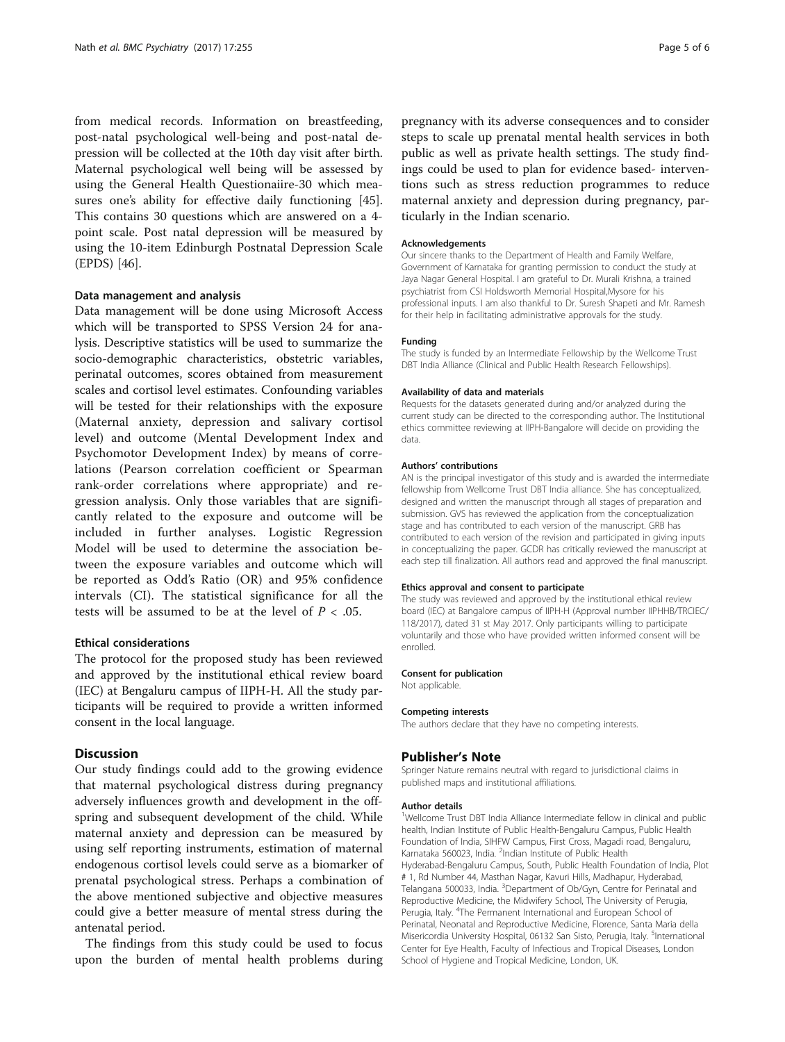from medical records. Information on breastfeeding, post-natal psychological well-being and post-natal depression will be collected at the 10th day visit after birth. Maternal psychological well being will be assessed by using the General Health Questionaiire-30 which measures one's ability for effective daily functioning [\[45](#page-5-0)]. This contains 30 questions which are answered on a 4 point scale. Post natal depression will be measured by using the 10-item Edinburgh Postnatal Depression Scale (EPDS) [\[46](#page-5-0)].

#### Data management and analysis

Data management will be done using Microsoft Access which will be transported to SPSS Version 24 for analysis. Descriptive statistics will be used to summarize the socio-demographic characteristics, obstetric variables, perinatal outcomes, scores obtained from measurement scales and cortisol level estimates. Confounding variables will be tested for their relationships with the exposure (Maternal anxiety, depression and salivary cortisol level) and outcome (Mental Development Index and Psychomotor Development Index) by means of correlations (Pearson correlation coefficient or Spearman rank-order correlations where appropriate) and regression analysis. Only those variables that are significantly related to the exposure and outcome will be included in further analyses. Logistic Regression Model will be used to determine the association between the exposure variables and outcome which will be reported as Odd's Ratio (OR) and 95% confidence intervals (CI). The statistical significance for all the tests will be assumed to be at the level of  $P < .05$ .

#### Ethical considerations

The protocol for the proposed study has been reviewed and approved by the institutional ethical review board (IEC) at Bengaluru campus of IIPH-H. All the study participants will be required to provide a written informed consent in the local language.

#### **Discussion**

Our study findings could add to the growing evidence that maternal psychological distress during pregnancy adversely influences growth and development in the offspring and subsequent development of the child. While maternal anxiety and depression can be measured by using self reporting instruments, estimation of maternal endogenous cortisol levels could serve as a biomarker of prenatal psychological stress. Perhaps a combination of the above mentioned subjective and objective measures could give a better measure of mental stress during the antenatal period.

The findings from this study could be used to focus upon the burden of mental health problems during

pregnancy with its adverse consequences and to consider steps to scale up prenatal mental health services in both public as well as private health settings. The study findings could be used to plan for evidence based- interventions such as stress reduction programmes to reduce maternal anxiety and depression during pregnancy, particularly in the Indian scenario.

#### Acknowledgements

Our sincere thanks to the Department of Health and Family Welfare, Government of Karnataka for granting permission to conduct the study at Jaya Nagar General Hospital. I am grateful to Dr. Murali Krishna, a trained psychiatrist from CSI Holdsworth Memorial Hospital,Mysore for his professional inputs. I am also thankful to Dr. Suresh Shapeti and Mr. Ramesh for their help in facilitating administrative approvals for the study.

#### Funding

The study is funded by an Intermediate Fellowship by the Wellcome Trust DBT India Alliance (Clinical and Public Health Research Fellowships).

#### Availability of data and materials

Requests for the datasets generated during and/or analyzed during the current study can be directed to the corresponding author. The Institutional ethics committee reviewing at IIPH-Bangalore will decide on providing the data.

#### Authors' contributions

AN is the principal investigator of this study and is awarded the intermediate fellowship from Wellcome Trust DBT India alliance. She has conceptualized, designed and written the manuscript through all stages of preparation and submission. GVS has reviewed the application from the conceptualization stage and has contributed to each version of the manuscript. GRB has contributed to each version of the revision and participated in giving inputs in conceptualizing the paper. GCDR has critically reviewed the manuscript at each step till finalization. All authors read and approved the final manuscript.

#### Ethics approval and consent to participate

The study was reviewed and approved by the institutional ethical review board (IEC) at Bangalore campus of IIPH-H (Approval number IIPHHB/TRCIEC/ 118/2017), dated 31 st May 2017. Only participants willing to participate voluntarily and those who have provided written informed consent will be enrolled.

#### Consent for publication

Not applicable.

#### Competing interests

The authors declare that they have no competing interests.

#### Publisher's Note

Springer Nature remains neutral with regard to jurisdictional claims in published maps and institutional affiliations.

#### Author details

<sup>1</sup>Wellcome Trust DBT India Alliance Intermediate fellow in clinical and public health, Indian Institute of Public Health-Bengaluru Campus, Public Health Foundation of India, SIHFW Campus, First Cross, Magadi road, Bengaluru, Karnataka 560023, India. <sup>2</sup>Indian Institute of Public Health Hyderabad-Bengaluru Campus, South, Public Health Foundation of India, Plot # 1, Rd Number 44, Masthan Nagar, Kavuri Hills, Madhapur, Hyderabad, Telangana 500033, India. <sup>3</sup>Department of Ob/Gyn, Centre for Perinatal and Reproductive Medicine, the Midwifery School, The University of Perugia, Perugia, Italy. <sup>4</sup>The Permanent International and European School of Perinatal, Neonatal and Reproductive Medicine, Florence, Santa Maria della Misericordia University Hospital, 06132 San Sisto, Perugia, Italy. <sup>5</sup>International Center for Eye Health, Faculty of Infectious and Tropical Diseases, London School of Hygiene and Tropical Medicine, London, UK.